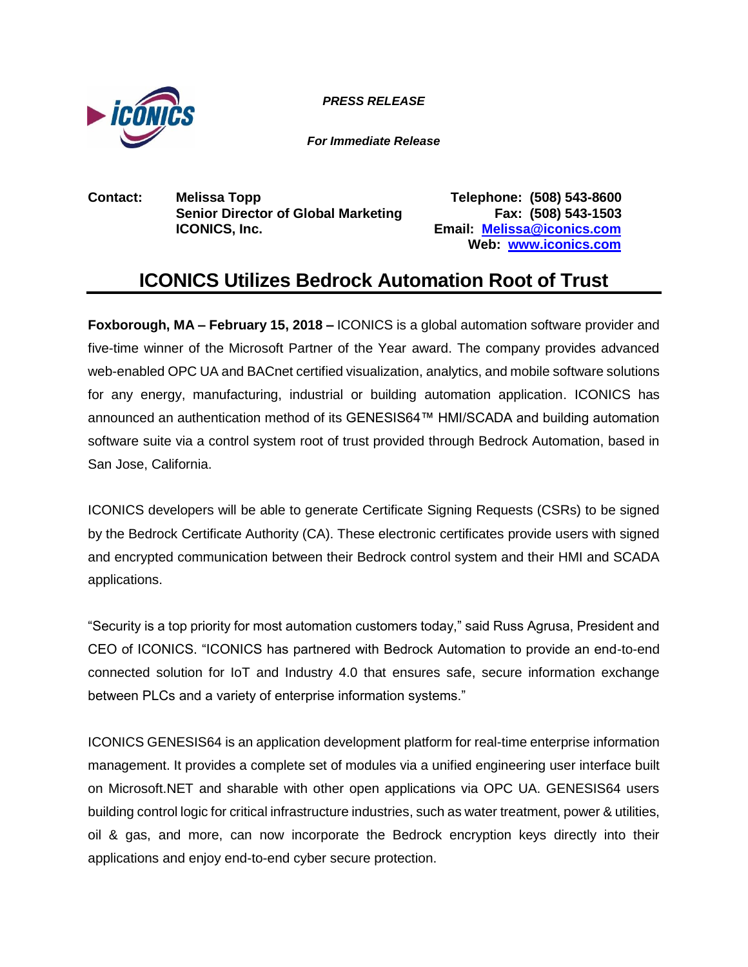

*PRESS RELEASE PRESS RELEASE*

*For Immediate Release*

**Contact: Melissa Topp Telephone: (508) 543-8600 Senior Director of Global Marketing Fax: (508) 543-1503 ICONICS, Inc. Email: [Melissa@iconics.com](mailto:Melissa@iconics.com)**

**Web: [www.iconics.com](http://www.iconics.com/)**

# **ICONICS Utilizes Bedrock Automation Root of Trust**

**Foxborough, MA – February 15, 2018 –** ICONICS is a global automation software provider and five-time winner of the Microsoft Partner of the Year award. The company provides advanced web-enabled OPC UA and BACnet certified visualization, analytics, and mobile software solutions for any energy, manufacturing, industrial or building automation application. ICONICS has announced an authentication method of its GENESIS64™ HMI/SCADA and building automation software suite via a control system root of trust provided through Bedrock Automation, based in San Jose, California.

ICONICS developers will be able to generate Certificate Signing Requests (CSRs) to be signed by the Bedrock Certificate Authority (CA). These electronic certificates provide users with signed and encrypted communication between their Bedrock control system and their HMI and SCADA applications.

"Security is a top priority for most automation customers today," said Russ Agrusa, President and CEO of ICONICS. "ICONICS has partnered with Bedrock Automation to provide an end-to-end connected solution for IoT and Industry 4.0 that ensures safe, secure information exchange between PLCs and a variety of enterprise information systems."

ICONICS GENESIS64 is an application development platform for real-time enterprise information management. It provides a complete set of modules via a unified engineering user interface built on Microsoft.NET and sharable with other open applications via OPC UA. GENESIS64 users building control logic for critical infrastructure industries, such as water treatment, power & utilities, oil & gas, and more, can now incorporate the Bedrock encryption keys directly into their applications and enjoy end-to-end cyber secure protection.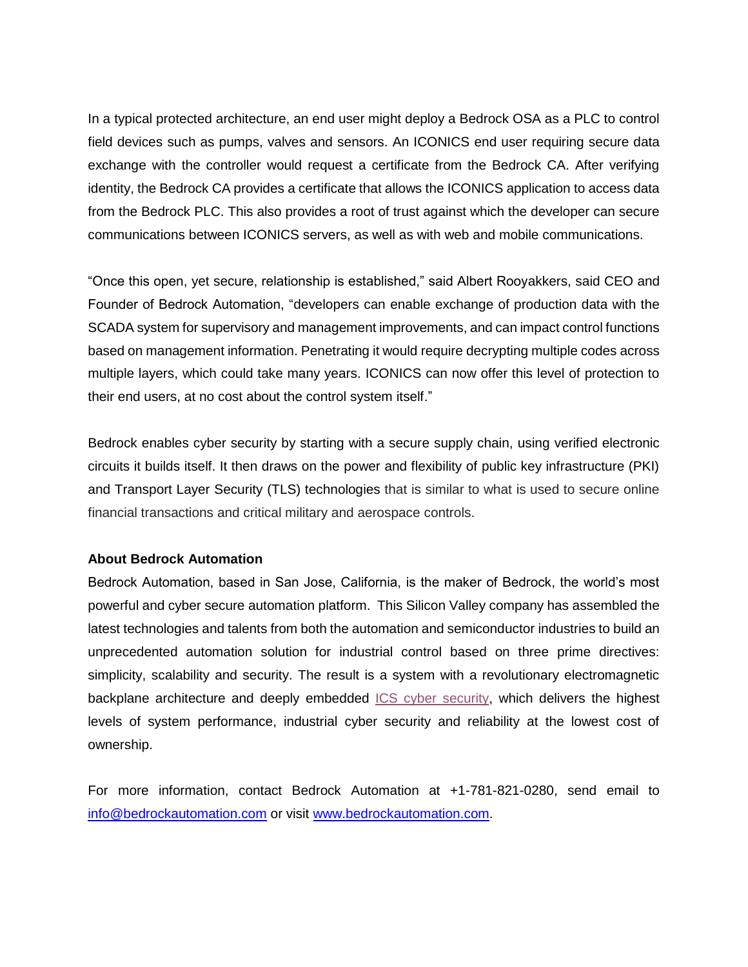In a typical protected architecture, an end user might deploy a Bedrock OSA as a PLC to control field devices such as pumps, valves and sensors. An ICONICS end user requiring secure data exchange with the controller would request a certificate from the Bedrock CA. After verifying identity, the Bedrock CA provides a certificate that allows the ICONICS application to access data from the Bedrock PLC. This also provides a root of trust against which the developer can secure communications between ICONICS servers, as well as with web and mobile communications.

"Once this open, yet secure, relationship is established," said Albert Rooyakkers, said CEO and Founder of Bedrock Automation, "developers can enable exchange of production data with the SCADA system for supervisory and management improvements, and can impact control functions based on management information. Penetrating it would require decrypting multiple codes across multiple layers, which could take many years. ICONICS can now offer this level of protection to their end users, at no cost about the control system itself."

Bedrock enables cyber security by starting with a secure supply chain, using verified electronic circuits it builds itself. It then draws on the power and flexibility of public key infrastructure (PKI) and Transport Layer Security (TLS) technologies that is similar to what is used to secure online financial transactions and critical military and aerospace controls.

## **About Bedrock Automation**

Bedrock Automation, based in San Jose, California, is the maker of Bedrock, the world's most powerful and cyber secure automation platform. This Silicon Valley company has assembled the latest technologies and talents from both the automation and semiconductor industries to build an unprecedented automation solution for industrial control based on three prime directives: simplicity, scalability and security. The result is a system with a revolutionary electromagnetic backplane architecture and deeply embedded [ICS cyber security,](http://www.bedrockautomation.com/) which delivers the highest levels of system performance, industrial cyber security and reliability at the lowest cost of ownership.

For more information, contact Bedrock Automation at +1-781-821-0280, send email to [info@bedrockautomation.com](mailto:info@bedrockautomation.com) or visit [www.bedrockautomation.com.](http://www.bedrockautomation.com/)